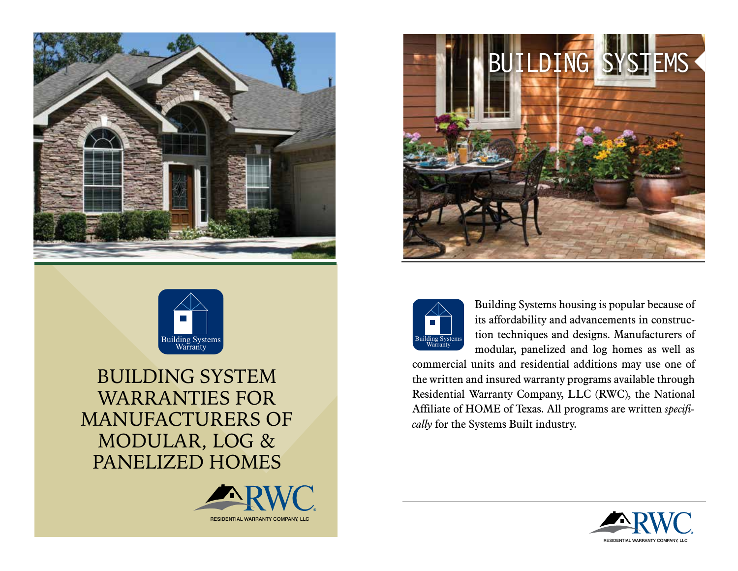



BUILDING SYSTEM WARRANTIES FOR MANUFACTURERS OF MODULAR, LOG & PANELIZED HOMES







Building Systems housing is popular because of its affordability and advancements in construction techniques and designs. Manufacturers of modular, panelized and log homes as well as

commercial units and residential additions may use one of the written and insured warranty programs available through Residential Warranty Company, LLC (RWC), the National Affiliate of HOME of Texas. All programs are written *specifically* for the Systems Built industry.

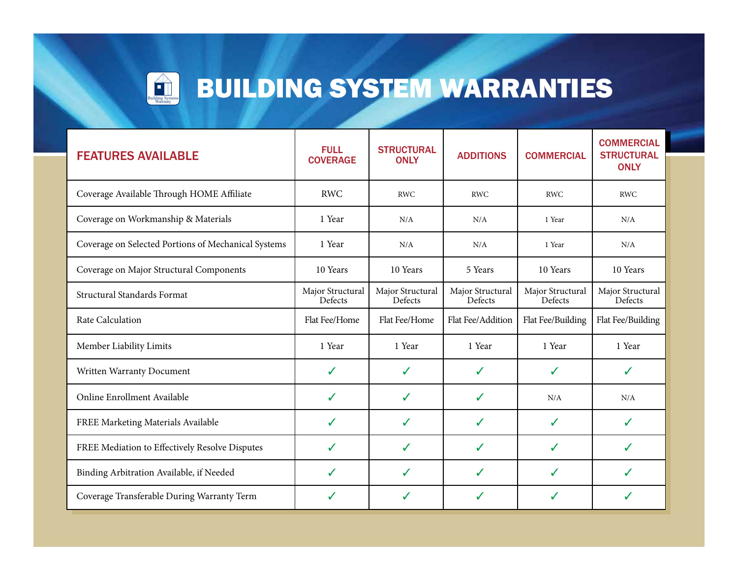

# **BUILDING SYSTEM WARRANTIES**

| <b>FEATURES AVAILABLE</b>                           | <b>FULL</b><br><b>COVERAGE</b> | <b>STRUCTURAL</b><br><b>ONLY</b> | <b>ADDITIONS</b>            | <b>COMMERCIAL</b>           | <b>COMMERCIAL</b><br><b>STRUCTURAL</b><br><b>ONLY</b> |
|-----------------------------------------------------|--------------------------------|----------------------------------|-----------------------------|-----------------------------|-------------------------------------------------------|
| Coverage Available Through HOME Affiliate           | <b>RWC</b>                     | <b>RWC</b>                       | <b>RWC</b>                  | <b>RWC</b>                  | <b>RWC</b>                                            |
| Coverage on Workmanship & Materials                 | 1 Year                         | N/A                              | N/A                         | 1 Year                      | N/A                                                   |
| Coverage on Selected Portions of Mechanical Systems | 1 Year                         | N/A                              | N/A                         | 1 Year                      | N/A                                                   |
| Coverage on Major Structural Components             | 10 Years                       | 10 Years                         | 5 Years                     | 10 Years                    | 10 Years                                              |
| Structural Standards Format                         | Major Structural<br>Defects    | Major Structural<br>Defects      | Major Structural<br>Defects | Major Structural<br>Defects | Major Structural<br>Defects                           |
| Rate Calculation                                    | Flat Fee/Home                  | Flat Fee/Home                    | Flat Fee/Addition           | Flat Fee/Building           | Flat Fee/Building                                     |
| Member Liability Limits                             | 1 Year                         | 1 Year                           | 1 Year                      | 1 Year                      | 1 Year                                                |
| Written Warranty Document                           | $\checkmark$                   | ✓                                | ✓                           | ✓                           | ✓                                                     |
| Online Enrollment Available                         | $\checkmark$                   | ✓                                | ✓                           | N/A                         | N/A                                                   |
| FREE Marketing Materials Available                  | ✓                              | ✓                                | ✓                           | ✔                           | ✓                                                     |
| FREE Mediation to Effectively Resolve Disputes      | J                              | ✓                                | ✓                           | ✓                           | ✓                                                     |
| Binding Arbitration Available, if Needed            | ✓                              | ✓                                | ✓                           | J                           | ✓                                                     |
| Coverage Transferable During Warranty Term          | J                              | ✓                                |                             | ✓                           | ✓                                                     |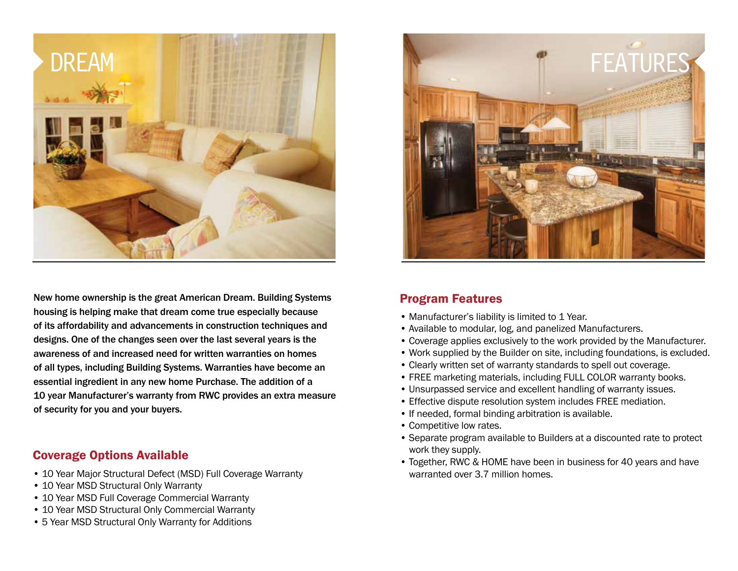

New home ownership is the great American Dream. Building Systems housing is helping make that dream come true especially because of its affordability and advancements in construction techniques and designs. One of the changes seen over the last several years is the awareness of and increased need for written warranties on homes of all types, including Building Systems. Warranties have become an essential ingredient in any new home Purchase. The addition of a 10 year Manufacturer's warranty from RWC provides an extra measure of security for you and your buyers.

#### Coverage Options Available

- 10 Year Major Structural Defect (MSD) Full Coverage Warranty
- 10 Year MSD Structural Only Warranty
- 10 Year MSD Full Coverage Commercial Warranty
- 10 Year MSD Structural Only Commercial Warranty
- 5 Year MSD Structural Only Warranty for Additions



#### Program Features

- Manufacturer's liability is limited to 1 Year.
- Available to modular, log, and panelized Manufacturers.
- Coverage applies exclusively to the work provided by the Manufacturer.
- Work supplied by the Builder on site, including foundations, is excluded.
- Clearly written set of warranty standards to spell out coverage.
- FREE marketing materials, including FULL COLOR warranty books.
- Unsurpassed service and excellent handling of warranty issues.
- Effective dispute resolution system includes FREE mediation.
- If needed, formal binding arbitration is available.
- Competitive low rates.
- Separate program available to Builders at a discounted rate to protect work they supply.
- Together, RWC & HOME have been in business for 40 years and have warranted over 3.7 million homes.